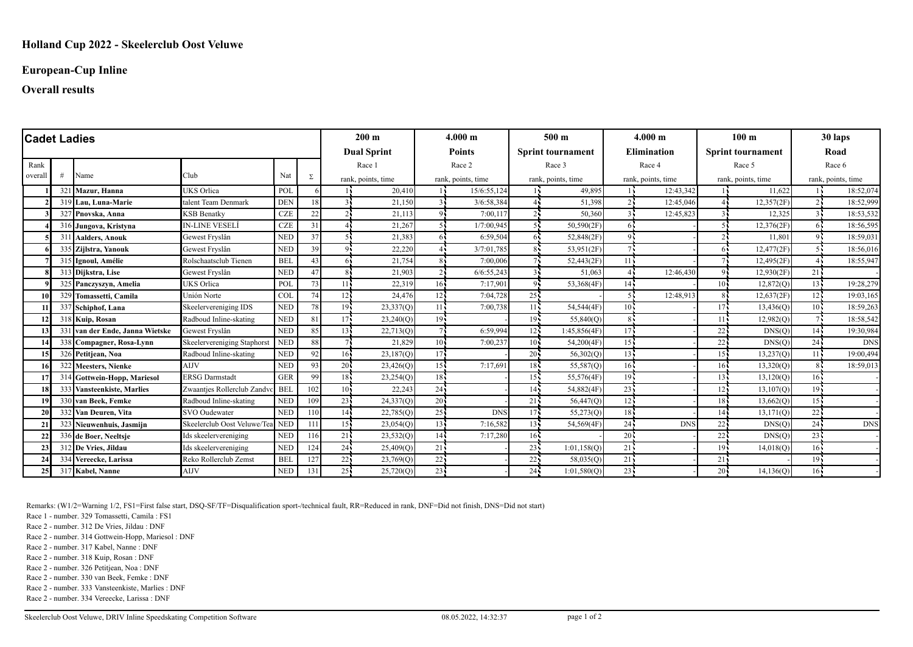### **European-Cup Inline**

### **Overall results**

| <b>Cadet Ladies</b> |    |                                 |                                 |            |     | 200 <sub>m</sub>   |                    | 4.000 m            |               | 500 <sub>m</sub>         |              | $4.000 \; \mathrm{m}$ |            | 100 <sub>m</sub>         |            | 30 laps            |            |
|---------------------|----|---------------------------------|---------------------------------|------------|-----|--------------------|--------------------|--------------------|---------------|--------------------------|--------------|-----------------------|------------|--------------------------|------------|--------------------|------------|
|                     |    |                                 |                                 |            |     |                    | <b>Dual Sprint</b> |                    | <b>Points</b> | <b>Sprint tournament</b> |              | <b>Elimination</b>    |            | <b>Sprint tournament</b> |            | Road               |            |
| Rank                |    |                                 |                                 |            |     | Race 1             |                    | Race 2<br>Race 3   |               | Race 4                   |              | Race 5                |            | Race 6                   |            |                    |            |
| overall             | -# | Name                            | Club                            | Nat        | Σ   | rank, points, time |                    | rank, points, time |               | rank, points, time       |              | rank, points, time    |            | rank, points, time       |            | rank, points, time |            |
|                     |    | 321 Mazur, Hanna                | <b>UKS</b> Orlica               | POL        |     |                    | 20.410             |                    | 15/6:55.124   |                          | 49.895       |                       | 12:43.342  |                          | 11.622     |                    | 18:52,074  |
|                     |    | 319 Lau. Luna-Marie             | talent Team Denmark             | <b>DEN</b> | 18  | 31                 | 21,150             | 31                 | 3/6:58,384    |                          | 51,398       |                       | 12:45,046  |                          | 12,357(2F) |                    | 18:52,999  |
|                     |    | 327 Pnovska, Anna               | <b>KSB Benatky</b>              | CZE        | 22  | っこ                 | 21,113             | 94                 | 7:00,117      |                          | 50,360       |                       | 12:45,823  |                          | 12,325     |                    | 18:53,532  |
|                     |    | 316 Jungova, Kristyna           | <b>IN-LINE VESELÍ</b>           | $CZE$      | 31  | $\overline{4}$     | 21,267             |                    | 1/7:00,945    |                          | 50,590(2F)   |                       |            |                          | 12,376(2F) | 65                 | 18:56,595  |
|                     |    | 311 Aalders, Anouk              | Gewest Fryslân                  | <b>NED</b> | 37  | 55                 | 21,383             | 61                 | 6:59.504      | 65                       | 52,848(2F)   |                       |            |                          | 11.801     |                    | 18:59,031  |
|                     |    | 335 Zijlstra, Yanouk            | Gewest Fryslân                  | <b>NED</b> | 39  | 94                 | 22,220             |                    | 3/7:01,785    | 85                       | 53,951(2F)   |                       |            | 64                       | 12,477(2F) |                    | 18:56,016  |
|                     |    | 315 Ignoul, Amélie              | Rolschaatsclub Tienen           | <b>BEL</b> | 43  | 65                 | 21,754             |                    | 7:00,006      |                          | 52,443(2F)   | 11                    |            |                          | 12,495(2F) |                    | 18:55,947  |
|                     |    | 313 Dijkstra, Lise              | Gewest Fryslân                  | <b>NED</b> | 47  | $\mathbf{8}$       | 21,903             | ا 2                | 6/6:55,243    |                          | 51,063       |                       | 12:46,430  | 9.                       | 12,930(2F) | 21                 |            |
|                     |    | 325 Panczyszyn, Amelia          | <b>UKS</b> Orlica               | POL        | 73  | 11.5               | 22,319             | 16 <sup>1</sup>    | 7:17,901      | $Q_{\rm L}$              | 53,368(4F)   | 14.5                  |            | 10.7                     | 12,872(Q)  | $13 -$             | 19:28,279  |
|                     |    | 329 Tomassetti, Camila          | Unión Norte                     | <b>COL</b> | 74  | $12 -$             | 24,476             | 12                 | 7:04,728      | $25 -$                   |              |                       | 12:48.91   |                          | 12,637(2F) | $12 -$             | 19:03,165  |
|                     |    | 337 Schiphof, Lana              | Skeelervereniging IDS           | <b>NED</b> | 78  | 19.                | 23,337(0)          | 114                | 7:00,738      | 11 <sup>2</sup>          | 54,544(4F)   | $10 -$                |            | 17.                      | 13,436(O)  | $10 -$             | 18:59,263  |
|                     |    | 318 Kuip, Rosan                 | Radboud Inline-skating          | <b>NED</b> | 81  | 17.                | 23,240(Q)          | $19 -$             |               | $19 -$                   | 55,840(Q)    |                       |            | 11.                      | 12,982(Q)  |                    | 18:58,542  |
|                     |    | 331 van der Ende, Janna Wietske | Gewest Fryslân                  | <b>NED</b> | 85  | $13 -$             | 22,713(Q)          |                    | 6:59.994      | 12 <sup>7</sup>          | 1:45,856(4F) | 17 <sub>1</sub>       |            | 22                       | DNS(Q)     | $14 -$             | 19:30,984  |
|                     |    | 338 Compagner, Rosa-Lynn        | Skeelervereniging Staphors      | <b>NED</b> | 88  |                    | 21,829             | $10^1$             | 7:00,237      | 10 <sup>2</sup>          | 54,200(4F)   | 15 <sub>1</sub>       |            | 22                       | DNS(Q)     | $24 -$             | <b>DNS</b> |
| 15                  |    | 326 Petitiean, Noa              | Radboud Inline-skating          | <b>NED</b> | 92  | 165                | 23,187(0)          | 17 <sup>1</sup>    |               | $20 -$                   | 56,302(0)    | 13                    |            | 15.5                     | 13,237(0)  | 115                | 19:00,494  |
| 161                 |    | 322 Meesters, Nienke            | <b>AIJV</b>                     | <b>NED</b> | 93  | 20 <sup>1</sup>    | 23,426(Q)          | 15 <sup>1</sup>    | 7:17.691      | 18 <sup>7</sup>          | 55,587(Q)    | 16 <sup>1</sup>       |            | $16 -$                   | 13,320(Q)  |                    | 18:59,013  |
|                     |    | 314 Gottwein-Hopp, Mariesol     | <b>ERSG Darmstadt</b>           | <b>GER</b> | 99  | $18 -$             | 23,254(Q)          | 18 <sup>1</sup>    |               | $15 -$                   | 55,576(4F)   | 19 <sub>1</sub>       |            | 13.                      | 13,120(Q)  | $16 -$             |            |
| 18                  |    | 333 Vansteenkiste, Marlies      | Zwaantjes Rollerclub Zandv      | <b>BEL</b> | 102 | $10^7$             | 22,243             | 24                 |               | $14 -$                   | 54,882(4F)   | $23 -$                |            | $12 -$                   | 13,107(Q)  | $19 -$             |            |
|                     |    | 330 van Beek. Femke             | Radboud Inline-skating          | <b>NED</b> | 109 | $23 -$             | 24,337(Q)          | 20                 |               | $21 -$                   | 56,447(Q)    | 12                    |            | 18.                      | 13,662(Q)  | $15 -$             |            |
| <b>20</b>           |    | 332 Van Deuren, Vita            | <b>SVO</b> Oudewater            | <b>NED</b> | 110 | 14 <sub>1</sub>    | 22,785(Q)          | 25 <sup>1</sup>    | <b>DNS</b>    | $17 -$                   | 55,273(Q)    | $18 -$                |            | 14 <sub>1</sub>          | 13,171(Q)  | $22 -$             |            |
| 21                  |    | 323 Nieuwenhuis, Jasmijn        | Skeelerclub Oost Veluwe/Tea NED |            | 111 | $15 -$             | 23,054(Q)          | $13 -$             | 7:16,582      | $13 -$                   | 54,569(4F)   | $24 -$                | <b>DNS</b> | 22:                      | DNS(Q)     | $24 -$             | <b>DNS</b> |
| 22                  |    | 336 de Boer, Neeltsje           | Ids skeelervereniging           | <b>NED</b> | 116 | 21                 | 23,532(Q)          | 14 <sup>2</sup>    | 7:17,280      | $16 -$                   |              | $20 -$                |            | $22^{\degree}$           | DNS(Q)     | $23 -$             |            |
| 23                  |    | 312 De Vries, Jildau            | Ids skeelervereniging           | <b>NED</b> | 124 | 24                 | 25,409(Q)          | 21                 |               | $23 -$                   | 1:01,158(O)  | 21                    |            | 19 <sub>1</sub>          | 14,018(Q)  | $16 -$             |            |
| 24                  |    | 334 Vereecke, Larissa           | Reko Rollerclub Zemst           | <b>BEL</b> | 127 | $22 -$             | 23,769(Q)          | $22 -$             |               | 22                       | 58,035(Q)    | 21                    |            | 21                       |            | $19 -$             |            |
| 25                  |    | 317 Kabel, Nanne                | <b>AIJV</b>                     | <b>NED</b> | 131 | 25 <sub>1</sub>    | 25,720(Q)          | 23                 |               | $24 -$                   | 1:01,580(Q)  | $23 -$                |            | $20 -$                   | 14,136(Q)  | $16 -$             |            |

Remarks: (W1/2=Warning 1/2, FS1=First false start, DSQ-SF/TF=Disqualification sport-/technical fault, RR=Reduced in rank, DNF=Did not finish, DNS=Did not start)

Race 1 - number. 329 Tomassetti, Camila : FS1

Race 2 - number. 312 De Vries, Jildau : DNF

Race 2 - number. 314 Gottwein-Hopp, Mariesol : DNF

Race 2 - number. 317 Kabel, Nanne : DNF

Race 2 - number. 318 Kuip, Rosan : DNF

Race 2 - number. 326 Petitjean, Noa : DNF

Race 2 - number. 330 van Beek, Femke : DNF

Race 2 - number. 333 Vansteenkiste, Marlies : DNF

Race 2 - number. 334 Vereecke, Larissa : DNF